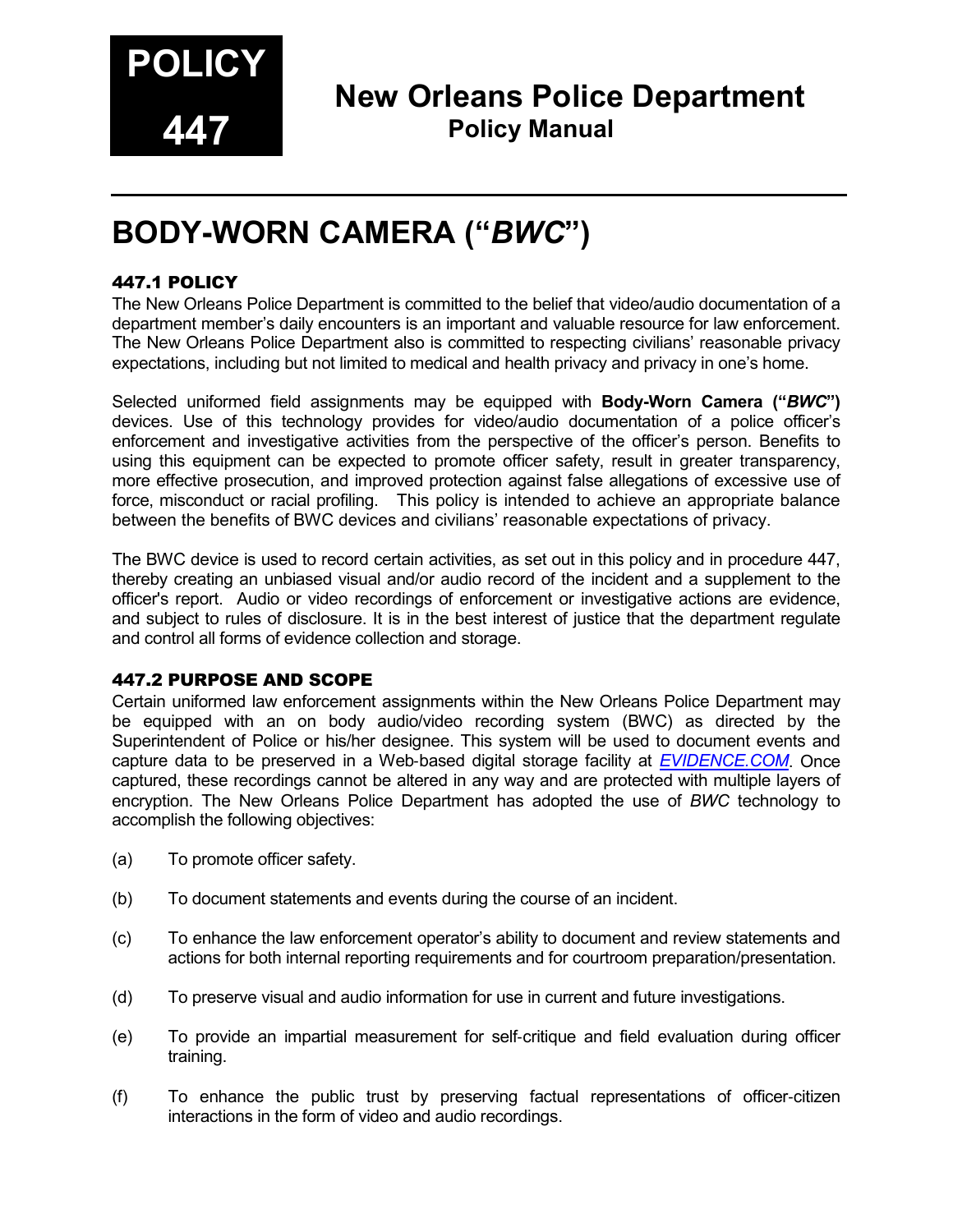

# **New Orleans Police Department Policy Manual**

# **BODY-WORN CAMERA ("***BWC***")**

#### 447.1 POLICY

The New Orleans Police Department is committed to the belief that video/audio documentation of a department member's daily encounters is an important and valuable resource for law enforcement. The New Orleans Police Department also is committed to respecting civilians' reasonable privacy expectations, including but not limited to medical and health privacy and privacy in one's home.

Selected uniformed field assignments may be equipped with **Body-Worn Camera ("***BWC***")**  devices. Use of this technology provides for video/audio documentation of a police officer's enforcement and investigative activities from the perspective of the officer's person. Benefits to using this equipment can be expected to promote officer safety, result in greater transparency, more effective prosecution, and improved protection against false allegations of excessive use of force, misconduct or racial profiling. This policy is intended to achieve an appropriate balance between the benefits of BWC devices and civilians' reasonable expectations of privacy.

The BWC device is used to record certain activities, as set out in this policy and in procedure 447, thereby creating an unbiased visual and/or audio record of the incident and a supplement to the officer's report. Audio or video recordings of enforcement or investigative actions are evidence, and subject to rules of disclosure. It is in the best interest of justice that the department regulate and control all forms of evidence collection and storage.

#### 447.2 PURPOSE AND SCOPE

Certain uniformed law enforcement assignments within the New Orleans Police Department may be equipped with an on body audio/video recording system (BWC) as directed by the Superintendent of Police or his/her designee. This system will be used to document events and capture data to be preserved in a Web-based digital storage facility at *[EVIDENCE.COM](http://info.taser.com/what-is-evidence-dot-com.html?utm_source=Google&utm_medium=ppc&utm_term=evidence&utm_campaign=Evidence-SM&gclid=CLbWzJeQ0rYCFRMJnAod2wQA1w)*. Once captured, these recordings cannot be altered in any way and are protected with multiple layers of encryption. The New Orleans Police Department has adopted the use of *BWC* technology to accomplish the following objectives:

- (a) To promote officer safety.
- (b) To document statements and events during the course of an incident.
- (c) To enhance the law enforcement operator's ability to document and review statements and actions for both internal reporting requirements and for courtroom preparation/presentation.
- (d) To preserve visual and audio information for use in current and future investigations.
- (e) To provide an impartial measurement for self-critique and field evaluation during officer training.
- (f) To enhance the public trust by preserving factual representations of officer-citizen interactions in the form of video and audio recordings.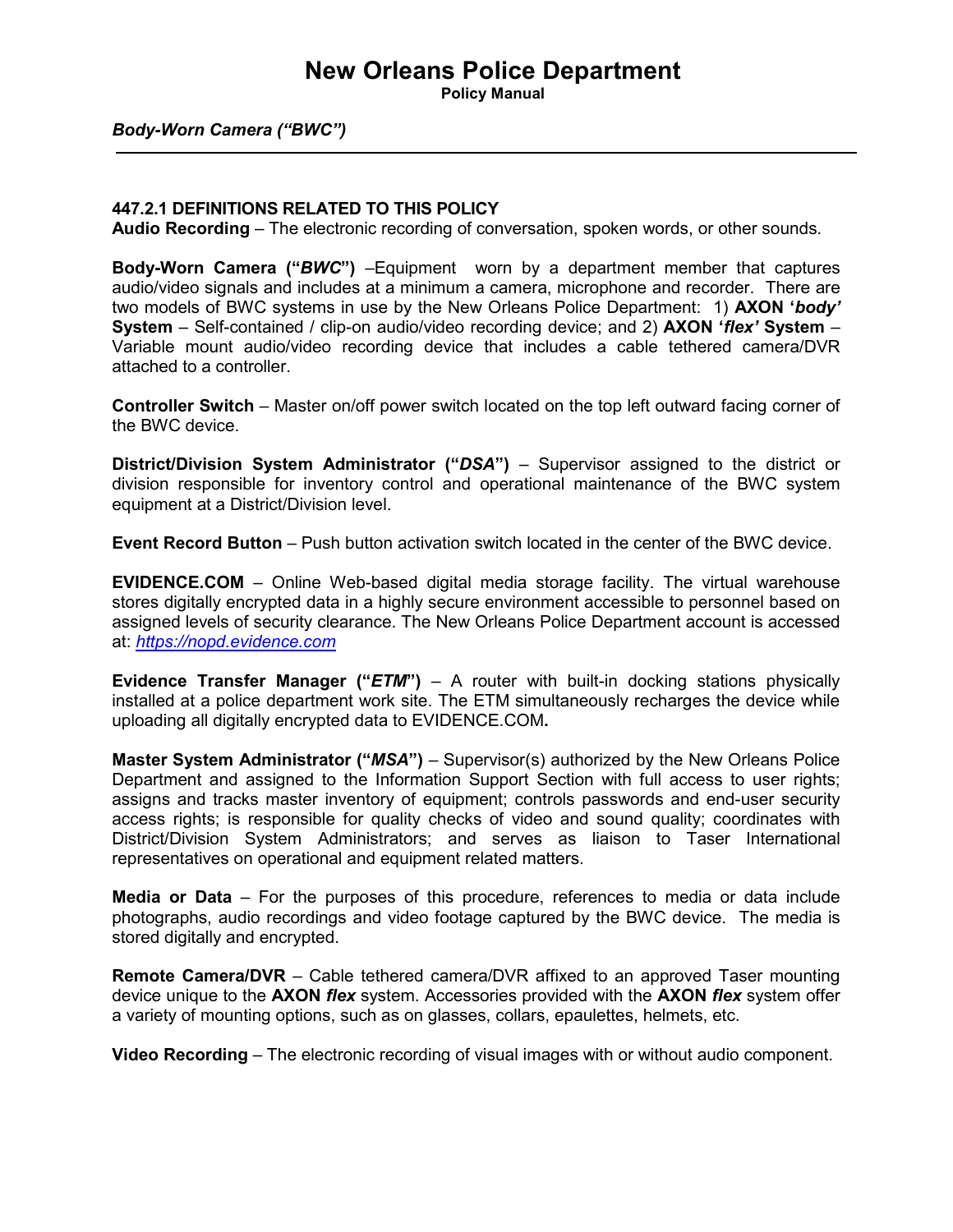**Policy Manual**

#### *Body-Worn Camera ("BWC")*

#### **447.2.1 DEFINITIONS RELATED TO THIS POLICY**

**Audio Recording** – The electronic recording of conversation, spoken words, or other sounds.

**Body-Worn Camera ("***BWC***")** –Equipment worn by a department member that captures audio/video signals and includes at a minimum a camera, microphone and recorder. There are two models of BWC systems in use by the New Orleans Police Department: 1) **AXON '***body'* **System** – Self-contained / clip-on audio/video recording device; and 2) **AXON '***flex'* **System** – Variable mount audio/video recording device that includes a cable tethered camera/DVR attached to a controller.

**Controller Switch** – Master on/off power switch located on the top left outward facing corner of the BWC device.

**District/Division System Administrator ("DSA") – Supervisor assigned to the district or** division responsible for inventory control and operational maintenance of the BWC system equipment at a District/Division level.

**Event Record Button** – Push button activation switch located in the center of the BWC device.

**EVIDENCE.COM** – Online Web-based digital media storage facility. The virtual warehouse stores digitally encrypted data in a highly secure environment accessible to personnel based on assigned levels of security clearance. The New Orleans Police Department account is accessed at: *[https://nopd.evidence.com](https://nopd.evidence.com/)*

**Evidence Transfer Manager ("***ETM***")** – A router with built-in docking stations physically installed at a police department work site. The ETM simultaneously recharges the device while uploading all digitally encrypted data to EVIDENCE.COM**.**

**Master System Administrator ("***MSA***")** – Supervisor(s) authorized by the New Orleans Police Department and assigned to the Information Support Section with full access to user rights; assigns and tracks master inventory of equipment; controls passwords and end-user security access rights; is responsible for quality checks of video and sound quality; coordinates with District/Division System Administrators; and serves as liaison to Taser International representatives on operational and equipment related matters.

**Media or Data** – For the purposes of this procedure, references to media or data include photographs, audio recordings and video footage captured by the BWC device. The media is stored digitally and encrypted.

**Remote Camera/DVR** – Cable tethered camera/DVR affixed to an approved Taser mounting device unique to the **AXON** *flex* system. Accessories provided with the **AXON** *flex* system offer a variety of mounting options, such as on glasses, collars, epaulettes, helmets, etc.

**Video Recording** – The electronic recording of visual images with or without audio component.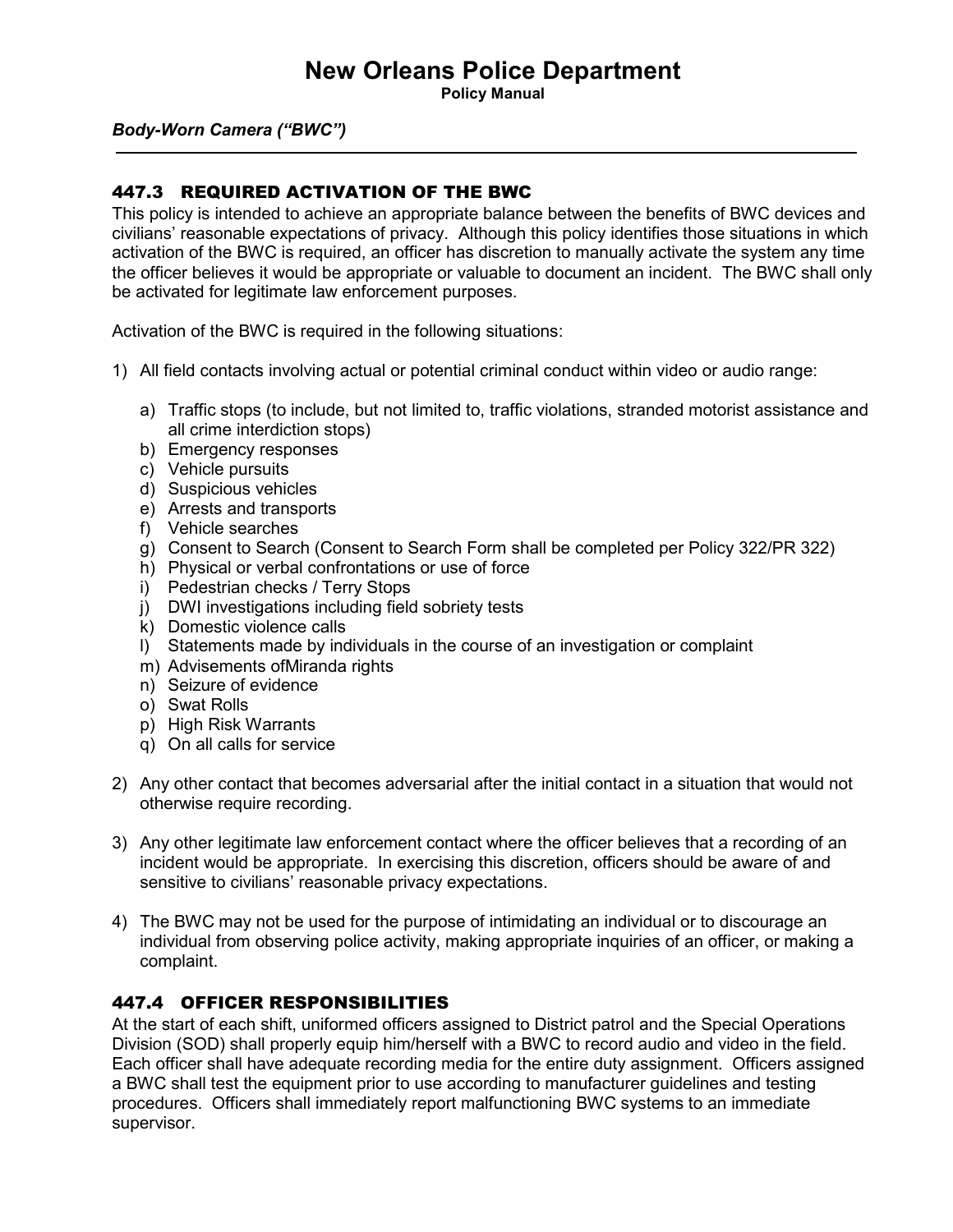**Policy Manual**

#### *Body-Worn Camera ("BWC")*

#### 447.3 REQUIRED ACTIVATION OF THE BWC

This policy is intended to achieve an appropriate balance between the benefits of BWC devices and civilians' reasonable expectations of privacy. Although this policy identifies those situations in which activation of the BWC is required, an officer has discretion to manually activate the system any time the officer believes it would be appropriate or valuable to document an incident. The BWC shall only be activated for legitimate law enforcement purposes.

Activation of the BWC is required in the following situations:

- 1) All field contacts involving actual or potential criminal conduct within video or audio range:
	- a) Traffic stops (to include, but not limited to, traffic violations, stranded motorist assistance and all crime interdiction stops)
	- b) Emergency responses
	- c) Vehicle pursuits
	- d) Suspicious vehicles
	- e) Arrests and transports
	- f) Vehicle searches
	- g) Consent to Search (Consent to Search Form shall be completed per Policy 322/PR 322)
	- h) Physical or verbal confrontations or use of force
	- i) Pedestrian checks / Terry Stops
	- j) DWI investigations including field sobriety tests
	- k) Domestic violence calls
	- l) Statements made by individuals in the course of an investigation or complaint
	- m) Advisements ofMiranda rights
	- n) Seizure of evidence
	- o) Swat Rolls
	- p) High Risk Warrants
	- q) On all calls for service
- 2) Any other contact that becomes adversarial after the initial contact in a situation that would not otherwise require recording.
- 3) Any other legitimate law enforcement contact where the officer believes that a recording of an incident would be appropriate. In exercising this discretion, officers should be aware of and sensitive to civilians' reasonable privacy expectations.
- 4) The BWC may not be used for the purpose of intimidating an individual or to discourage an individual from observing police activity, making appropriate inquiries of an officer, or making a complaint.

#### 447.4 OFFICER RESPONSIBILITIES

At the start of each shift, uniformed officers assigned to District patrol and the Special Operations Division (SOD) shall properly equip him/herself with a BWC to record audio and video in the field. Each officer shall have adequate recording media for the entire duty assignment. Officers assigned a BWC shall test the equipment prior to use according to manufacturer guidelines and testing procedures. Officers shall immediately report malfunctioning BWC systems to an immediate supervisor.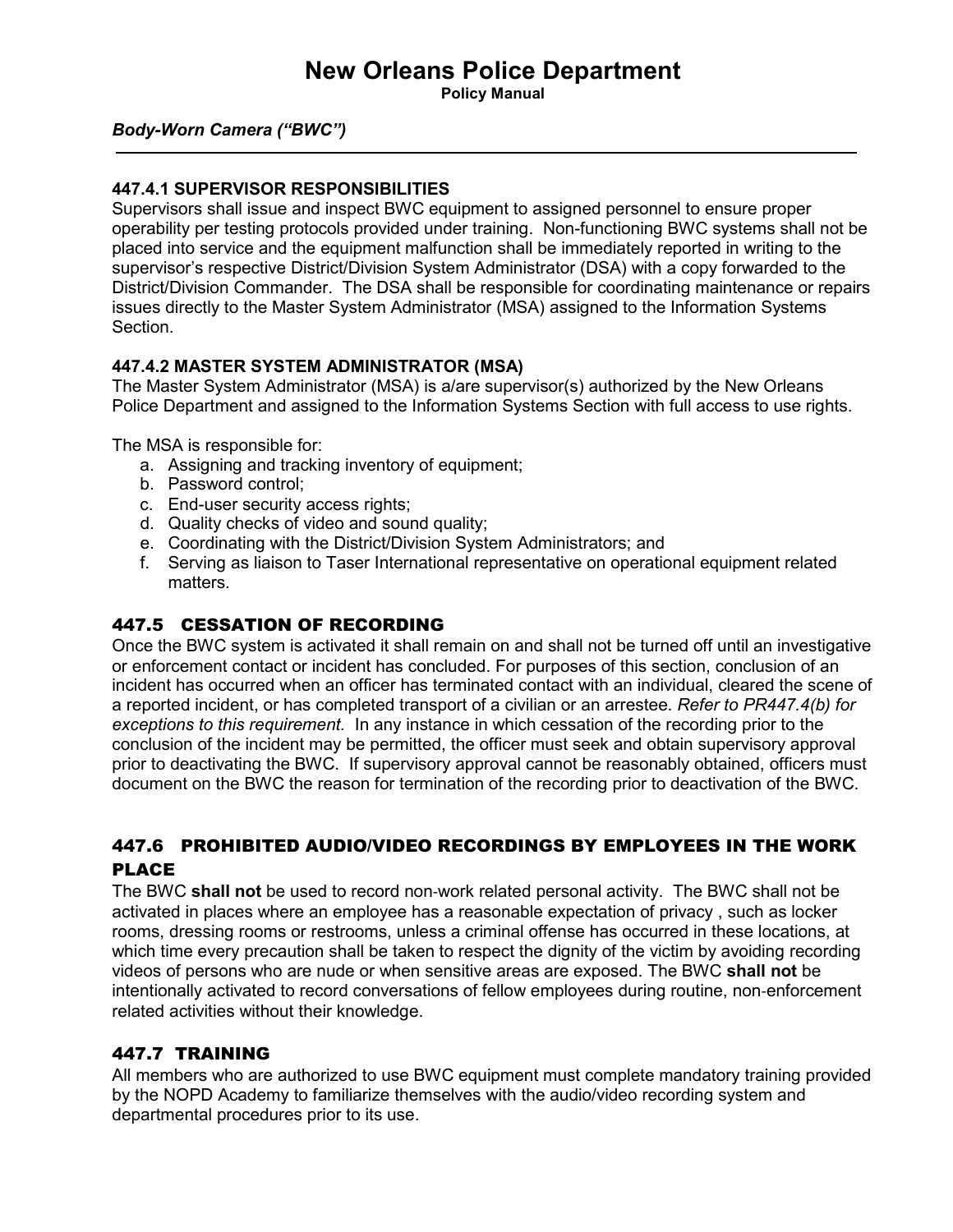**Policy Manual**

#### *Body-Worn Camera ("BWC")*

#### **447.4.1 SUPERVISOR RESPONSIBILITIES**

Supervisors shall issue and inspect BWC equipment to assigned personnel to ensure proper operability per testing protocols provided under training. Non-functioning BWC systems shall not be placed into service and the equipment malfunction shall be immediately reported in writing to the supervisor's respective District/Division System Administrator (DSA) with a copy forwarded to the District/Division Commander. The DSA shall be responsible for coordinating maintenance or repairs issues directly to the Master System Administrator (MSA) assigned to the Information Systems Section.

#### **447.4.2 MASTER SYSTEM ADMINISTRATOR (MSA)**

The Master System Administrator (MSA) is a/are supervisor(s) authorized by the New Orleans Police Department and assigned to the Information Systems Section with full access to use rights.

The MSA is responsible for:

- a. Assigning and tracking inventory of equipment;
- b. Password control;
- c. End-user security access rights;
- d. Quality checks of video and sound quality;
- e. Coordinating with the District/Division System Administrators; and
- f. Serving as liaison to Taser International representative on operational equipment related matters.

#### 447.5 CESSATION OF RECORDING

Once the BWC system is activated it shall remain on and shall not be turned off until an investigative or enforcement contact or incident has concluded. For purposes of this section, conclusion of an incident has occurred when an officer has terminated contact with an individual, cleared the scene of a reported incident, or has completed transport of a civilian or an arrestee. *Refer to PR447.4(b) for exceptions to this requirement.* In any instance in which cessation of the recording prior to the conclusion of the incident may be permitted, the officer must seek and obtain supervisory approval prior to deactivating the BWC. If supervisory approval cannot be reasonably obtained, officers must document on the BWC the reason for termination of the recording prior to deactivation of the BWC.

#### 447.6 PROHIBITED AUDIO/VIDEO RECORDINGS BY EMPLOYEES IN THE WORK PLACE

The BWC **shall not** be used to record non-work related personal activity. The BWC shall not be activated in places where an employee has a reasonable expectation of privacy , such as locker rooms, dressing rooms or restrooms, unless a criminal offense has occurred in these locations, at which time every precaution shall be taken to respect the dignity of the victim by avoiding recording videos of persons who are nude or when sensitive areas are exposed. The BWC **shall not** be intentionally activated to record conversations of fellow employees during routine, non-enforcement related activities without their knowledge.

#### 447.7 TRAINING

All members who are authorized to use BWC equipment must complete mandatory training provided by the NOPD Academy to familiarize themselves with the audio/video recording system and departmental procedures prior to its use.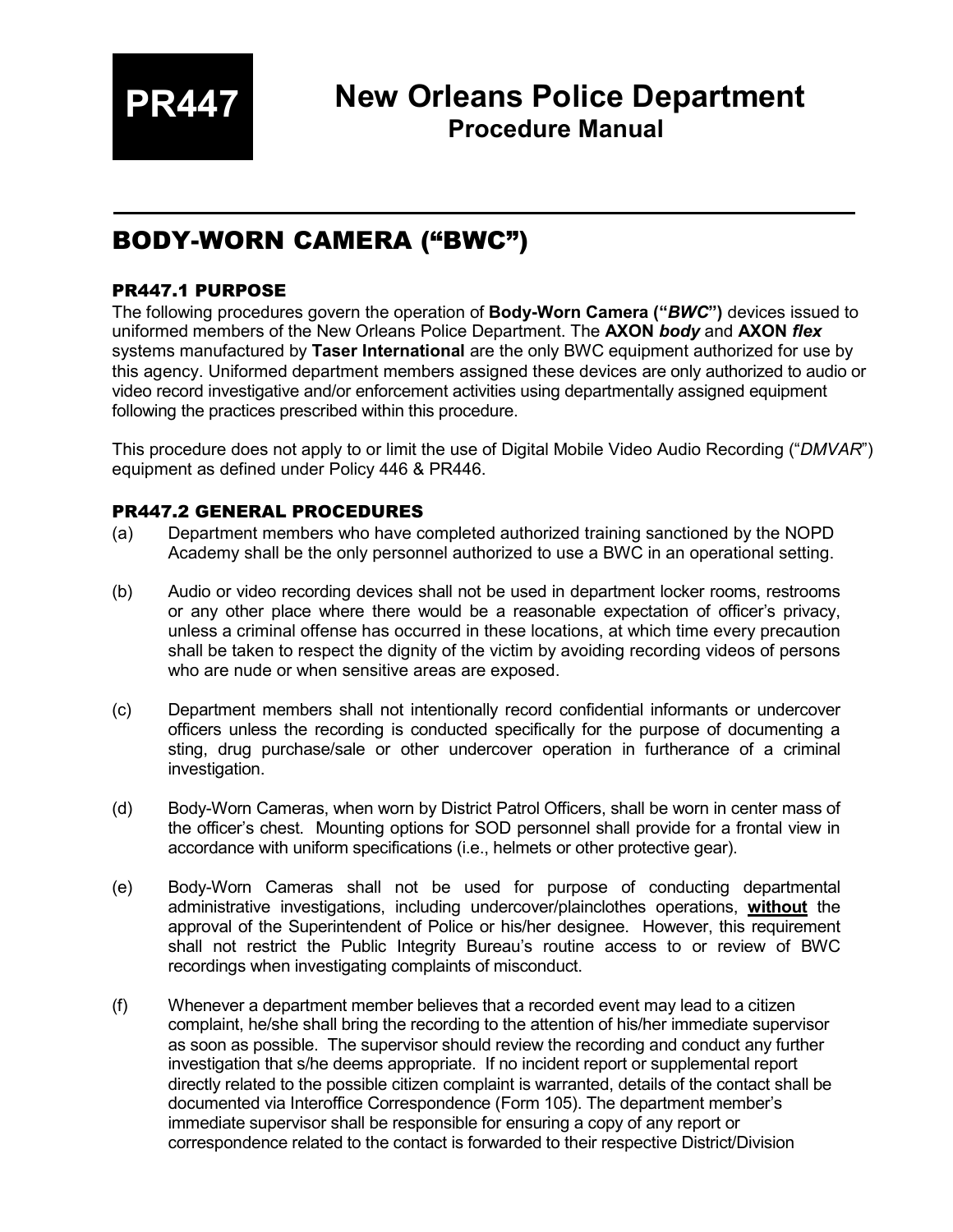**PR447**

## BODY-WORN CAMERA ("BWC")

#### PR447.1 PURPOSE

The following procedures govern the operation of **Body-Worn Camera ("***BWC***")** devices issued to uniformed members of the New Orleans Police Department. The **AXON** *body* and **AXON** *flex* systems manufactured by **Taser International** are the only BWC equipment authorized for use by this agency. Uniformed department members assigned these devices are only authorized to audio or video record investigative and/or enforcement activities using departmentally assigned equipment following the practices prescribed within this procedure.

This procedure does not apply to or limit the use of Digital Mobile Video Audio Recording ("*DMVAR*") equipment as defined under Policy 446 & PR446.

#### PR447.2 GENERAL PROCEDURES

- (a) Department members who have completed authorized training sanctioned by the NOPD Academy shall be the only personnel authorized to use a BWC in an operational setting.
- (b) Audio or video recording devices shall not be used in department locker rooms, restrooms or any other place where there would be a reasonable expectation of officer's privacy, unless a criminal offense has occurred in these locations, at which time every precaution shall be taken to respect the dignity of the victim by avoiding recording videos of persons who are nude or when sensitive areas are exposed.
- (c) Department members shall not intentionally record confidential informants or undercover officers unless the recording is conducted specifically for the purpose of documenting a sting, drug purchase/sale or other undercover operation in furtherance of a criminal investigation.
- (d) Body-Worn Cameras, when worn by District Patrol Officers, shall be worn in center mass of the officer's chest. Mounting options for SOD personnel shall provide for a frontal view in accordance with uniform specifications (i.e., helmets or other protective gear).
- (e) Body-Worn Cameras shall not be used for purpose of conducting departmental administrative investigations, including undercover/plainclothes operations, **without** the approval of the Superintendent of Police or his/her designee. However, this requirement shall not restrict the Public Integrity Bureau's routine access to or review of BWC recordings when investigating complaints of misconduct.
- (f) Whenever a department member believes that a recorded event may lead to a citizen complaint, he/she shall bring the recording to the attention of his/her immediate supervisor as soon as possible. The supervisor should review the recording and conduct any further investigation that s/he deems appropriate. If no incident report or supplemental report directly related to the possible citizen complaint is warranted, details of the contact shall be documented via Interoffice Correspondence (Form 105). The department member's immediate supervisor shall be responsible for ensuring a copy of any report or correspondence related to the contact is forwarded to their respective District/Division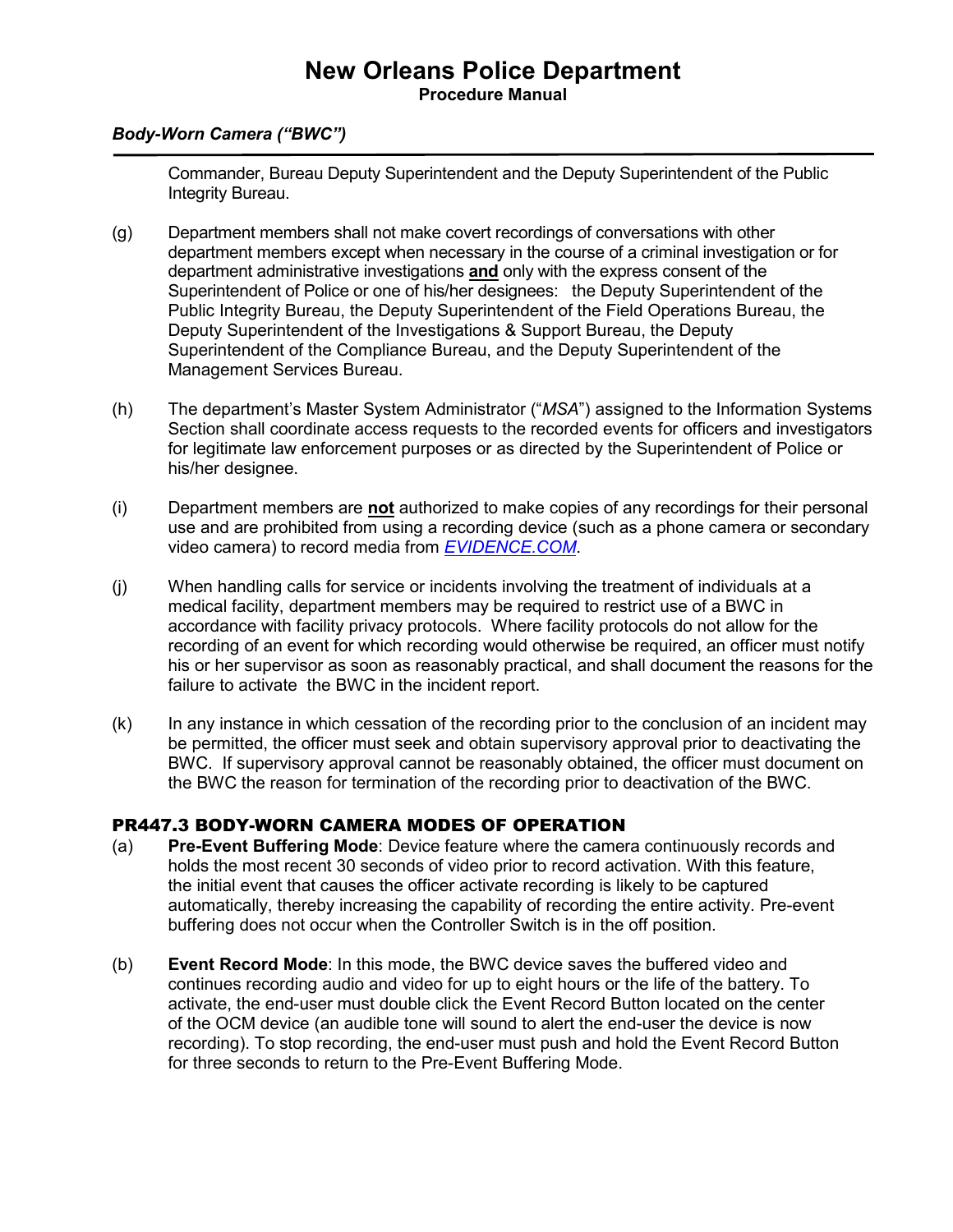#### **New Orleans Police Department Procedure Manual**

#### *Body-Worn Camera ("BWC")*

Commander, Bureau Deputy Superintendent and the Deputy Superintendent of the Public Integrity Bureau.

- (g) Department members shall not make covert recordings of conversations with other department members except when necessary in the course of a criminal investigation or for department administrative investigations **and** only with the express consent of the Superintendent of Police or one of his/her designees: the Deputy Superintendent of the Public Integrity Bureau, the Deputy Superintendent of the Field Operations Bureau, the Deputy Superintendent of the Investigations & Support Bureau, the Deputy Superintendent of the Compliance Bureau, and the Deputy Superintendent of the Management Services Bureau.
- (h) The department's Master System Administrator ("*MSA*") assigned to the Information Systems Section shall coordinate access requests to the recorded events for officers and investigators for legitimate law enforcement purposes or as directed by the Superintendent of Police or his/her designee.
- (i) Department members are **not** authorized to make copies of any recordings for their personal use and are prohibited from using a recording device (such as a phone camera or secondary video camera) to record media from *[EVIDENCE.COM](https://nopd.evidence.com/)*.
- (j) When handling calls for service or incidents involving the treatment of individuals at a medical facility, department members may be required to restrict use of a BWC in accordance with facility privacy protocols. Where facility protocols do not allow for the recording of an event for which recording would otherwise be required, an officer must notify his or her supervisor as soon as reasonably practical, and shall document the reasons for the failure to activate the BWC in the incident report.
- (k) In any instance in which cessation of the recording prior to the conclusion of an incident may be permitted, the officer must seek and obtain supervisory approval prior to deactivating the BWC. If supervisory approval cannot be reasonably obtained, the officer must document on the BWC the reason for termination of the recording prior to deactivation of the BWC.

#### PR447.3 BODY-WORN CAMERA MODES OF OPERATION

- (a) **Pre-Event Buffering Mode**: Device feature where the camera continuously records and holds the most recent 30 seconds of video prior to record activation. With this feature, the initial event that causes the officer activate recording is likely to be captured automatically, thereby increasing the capability of recording the entire activity. Pre-event buffering does not occur when the Controller Switch is in the off position.
- (b) **Event Record Mode**: In this mode, the BWC device saves the buffered video and continues recording audio and video for up to eight hours or the life of the battery. To activate, the end-user must double click the Event Record Button located on the center of the OCM device (an audible tone will sound to alert the end-user the device is now recording). To stop recording, the end-user must push and hold the Event Record Button for three seconds to return to the Pre-Event Buffering Mode.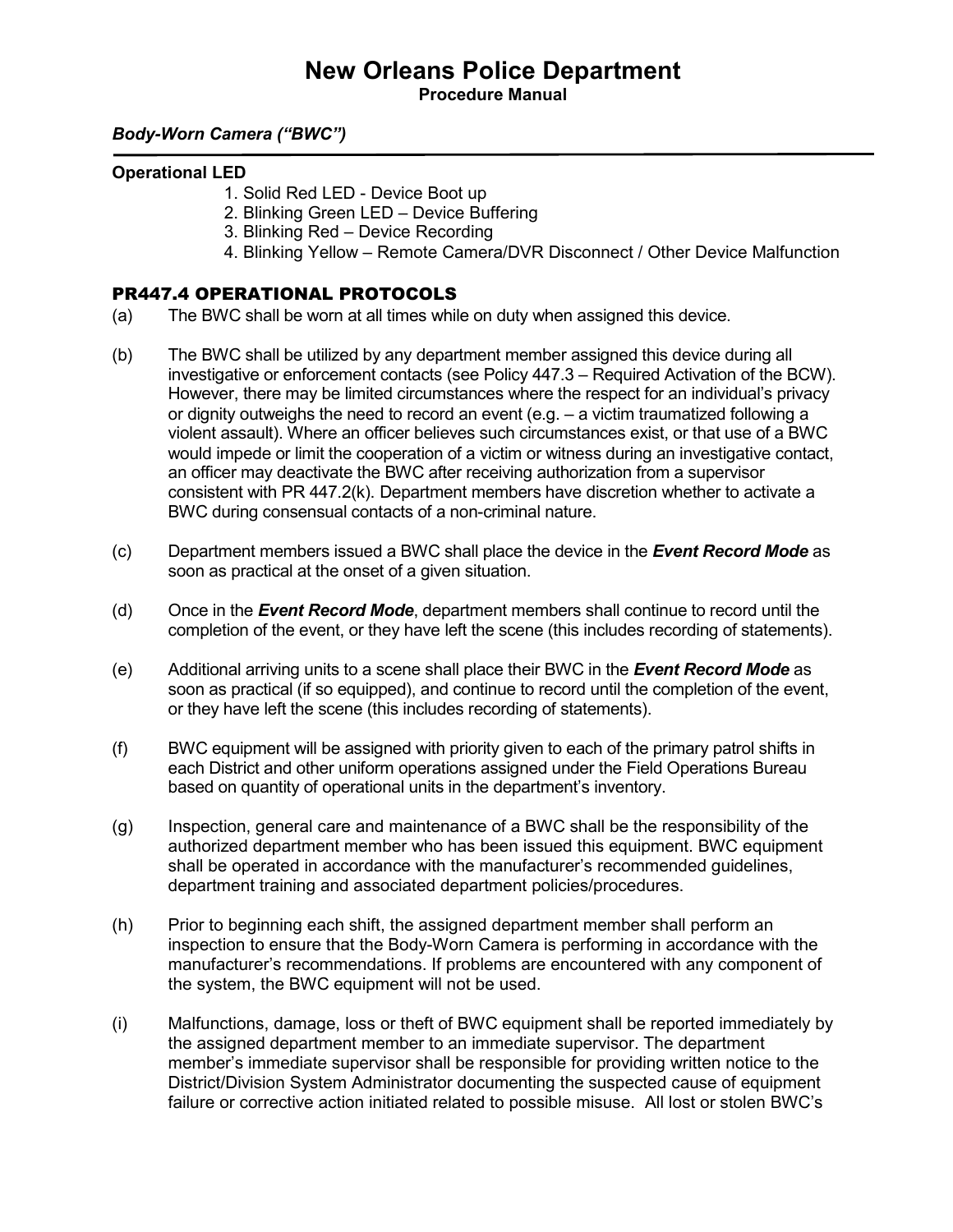**Procedure Manual**

#### *Body-Worn Camera ("BWC")*

#### **Operational LED**

- 1. Solid Red LED Device Boot up
- 2. Blinking Green LED Device Buffering
- 3. Blinking Red Device Recording
- 4. Blinking Yellow Remote Camera/DVR Disconnect / Other Device Malfunction

#### PR447.4 OPERATIONAL PROTOCOLS

- (a) The BWC shall be worn at all times while on duty when assigned this device.
- (b) The BWC shall be utilized by any department member assigned this device during all investigative or enforcement contacts (see Policy 447.3 – Required Activation of the BCW). However, there may be limited circumstances where the respect for an individual's privacy or dignity outweighs the need to record an event (e.g. – a victim traumatized following a violent assault). Where an officer believes such circumstances exist, or that use of a BWC would impede or limit the cooperation of a victim or witness during an investigative contact, an officer may deactivate the BWC after receiving authorization from a supervisor consistent with PR 447.2(k). Department members have discretion whether to activate a BWC during consensual contacts of a non-criminal nature.
- (c) Department members issued a BWC shall place the device in the *Event Record Mode* as soon as practical at the onset of a given situation.
- (d) Once in the *Event Record Mode*, department members shall continue to record until the completion of the event, or they have left the scene (this includes recording of statements).
- (e) Additional arriving units to a scene shall place their BWC in the *Event Record Mode* as soon as practical (if so equipped), and continue to record until the completion of the event, or they have left the scene (this includes recording of statements).
- (f) BWC equipment will be assigned with priority given to each of the primary patrol shifts in each District and other uniform operations assigned under the Field Operations Bureau based on quantity of operational units in the department's inventory.
- (g) Inspection, general care and maintenance of a BWC shall be the responsibility of the authorized department member who has been issued this equipment. BWC equipment shall be operated in accordance with the manufacturer's recommended guidelines, department training and associated department policies/procedures.
- (h) Prior to beginning each shift, the assigned department member shall perform an inspection to ensure that the Body-Worn Camera is performing in accordance with the manufacturer's recommendations. If problems are encountered with any component of the system, the BWC equipment will not be used.
- (i) Malfunctions, damage, loss or theft of BWC equipment shall be reported immediately by the assigned department member to an immediate supervisor. The department member's immediate supervisor shall be responsible for providing written notice to the District/Division System Administrator documenting the suspected cause of equipment failure or corrective action initiated related to possible misuse. All lost or stolen BWC's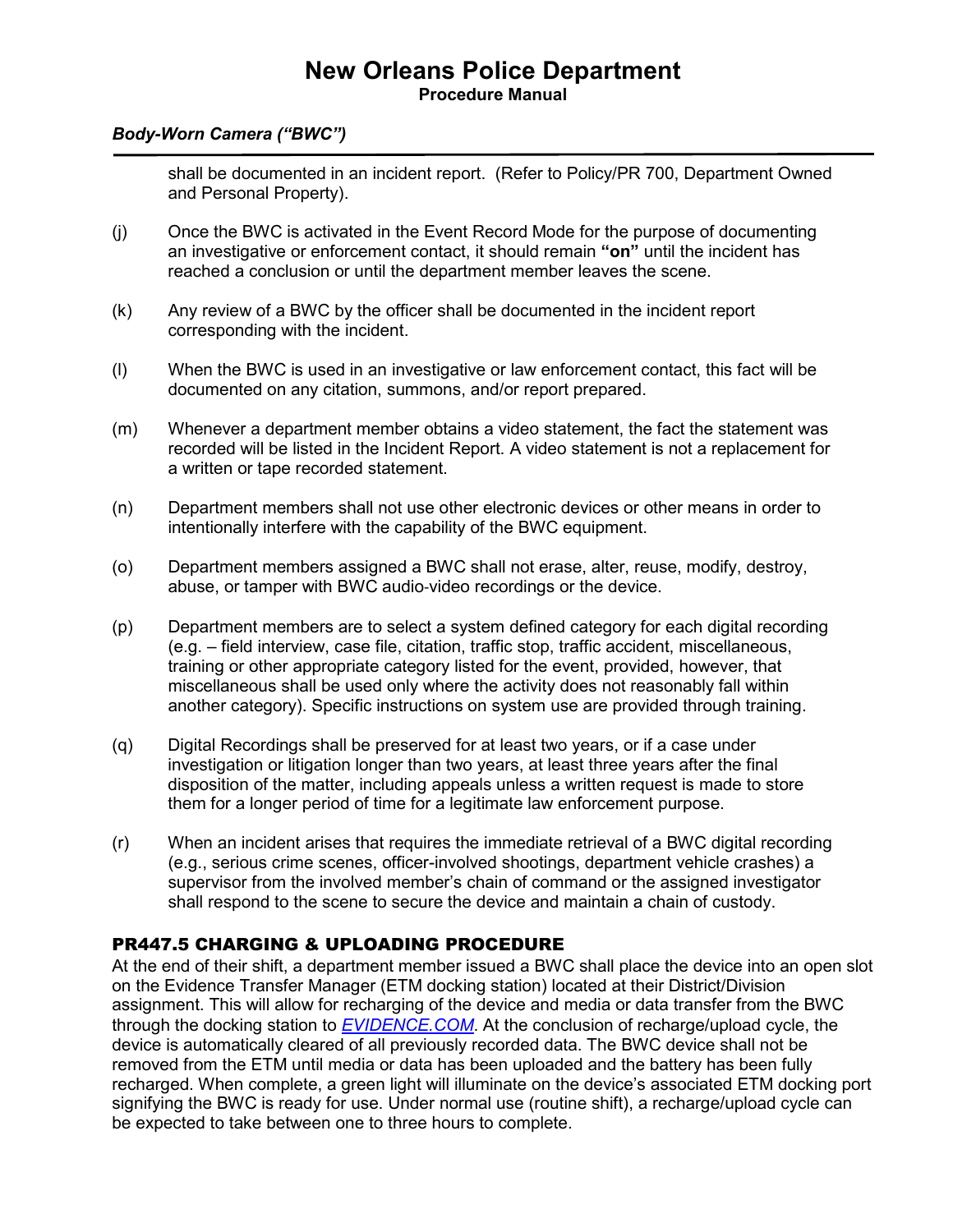#### **New Orleans Police Department Procedure Manual**

#### *Body-Worn Camera ("BWC")*

shall be documented in an incident report. (Refer to Policy/PR 700, Department Owned and Personal Property).

- (j) Once the BWC is activated in the Event Record Mode for the purpose of documenting an investigative or enforcement contact, it should remain **"on"** until the incident has reached a conclusion or until the department member leaves the scene.
- (k) Any review of a BWC by the officer shall be documented in the incident report corresponding with the incident.
- (l) When the BWC is used in an investigative or law enforcement contact, this fact will be documented on any citation, summons, and/or report prepared.
- (m) Whenever a department member obtains a video statement, the fact the statement was recorded will be listed in the Incident Report. A video statement is not a replacement for a written or tape recorded statement.
- (n) Department members shall not use other electronic devices or other means in order to intentionally interfere with the capability of the BWC equipment.
- (o) Department members assigned a BWC shall not erase, alter, reuse, modify, destroy, abuse, or tamper with BWC audio-video recordings or the device.
- (p) Department members are to select a system defined category for each digital recording (e.g. – field interview, case file, citation, traffic stop, traffic accident, miscellaneous, training or other appropriate category listed for the event, provided, however, that miscellaneous shall be used only where the activity does not reasonably fall within another category). Specific instructions on system use are provided through training.
- (q) Digital Recordings shall be preserved for at least two years, or if a case under investigation or litigation longer than two years, at least three years after the final disposition of the matter, including appeals unless a written request is made to store them for a longer period of time for a legitimate law enforcement purpose.
- (r) When an incident arises that requires the immediate retrieval of a BWC digital recording (e.g., serious crime scenes, officer-involved shootings, department vehicle crashes) a supervisor from the involved member's chain of command or the assigned investigator shall respond to the scene to secure the device and maintain a chain of custody.

#### PR447.5 CHARGING & UPLOADING PROCEDURE

At the end of their shift, a department member issued a BWC shall place the device into an open slot on the Evidence Transfer Manager (ETM docking station) located at their District/Division assignment. This will allow for recharging of the device and media or data transfer from the BWC through the docking station to *[EVIDENCE.COM](https://nopd.evidence.com/)*. At the conclusion of recharge/upload cycle, the device is automatically cleared of all previously recorded data. The BWC device shall not be removed from the ETM until media or data has been uploaded and the battery has been fully recharged. When complete, a green light will illuminate on the device's associated ETM docking port signifying the BWC is ready for use. Under normal use (routine shift), a recharge/upload cycle can be expected to take between one to three hours to complete.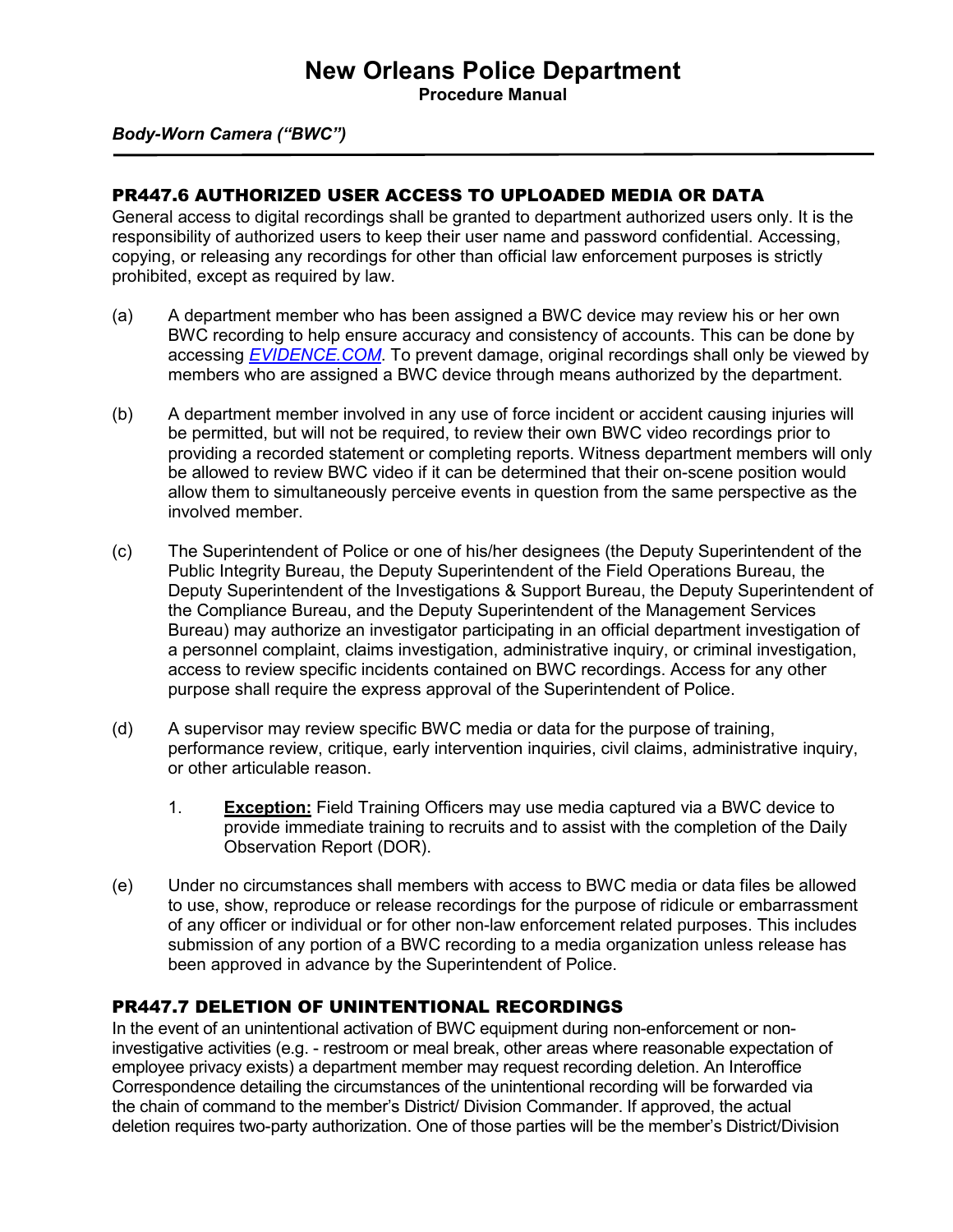**Procedure Manual**

*Body-Worn Camera ("BWC")*

#### PR447.6 AUTHORIZED USER ACCESS TO UPLOADED MEDIA OR DATA

General access to digital recordings shall be granted to department authorized users only. It is the responsibility of authorized users to keep their user name and password confidential. Accessing, copying, or releasing any recordings for other than official law enforcement purposes is strictly prohibited, except as required by law.

- (a) A department member who has been assigned a BWC device may review his or her own BWC recording to help ensure accuracy and consistency of accounts. This can be done by accessing *[EVIDENCE.COM](https://nopd.evidence.com/)*. To prevent damage, original recordings shall only be viewed by members who are assigned a BWC device through means authorized by the department.
- (b) A department member involved in any use of force incident or accident causing injuries will be permitted, but will not be required, to review their own BWC video recordings prior to providing a recorded statement or completing reports. Witness department members will only be allowed to review BWC video if it can be determined that their on-scene position would allow them to simultaneously perceive events in question from the same perspective as the involved member.
- (c) The Superintendent of Police or one of his/her designees (the Deputy Superintendent of the Public Integrity Bureau, the Deputy Superintendent of the Field Operations Bureau, the Deputy Superintendent of the Investigations & Support Bureau, the Deputy Superintendent of the Compliance Bureau, and the Deputy Superintendent of the Management Services Bureau) may authorize an investigator participating in an official department investigation of a personnel complaint, claims investigation, administrative inquiry, or criminal investigation, access to review specific incidents contained on BWC recordings. Access for any other purpose shall require the express approval of the Superintendent of Police.
- (d) A supervisor may review specific BWC media or data for the purpose of training, performance review, critique, early intervention inquiries, civil claims, administrative inquiry, or other articulable reason.
	- 1. **Exception:** Field Training Officers may use media captured via a BWC device to provide immediate training to recruits and to assist with the completion of the Daily Observation Report (DOR).
- (e) Under no circumstances shall members with access to BWC media or data files be allowed to use, show, reproduce or release recordings for the purpose of ridicule or embarrassment of any officer or individual or for other non-law enforcement related purposes. This includes submission of any portion of a BWC recording to a media organization unless release has been approved in advance by the Superintendent of Police.

#### PR447.7 DELETION OF UNINTENTIONAL RECORDINGS

In the event of an unintentional activation of BWC equipment during non-enforcement or noninvestigative activities (e.g. - restroom or meal break, other areas where reasonable expectation of employee privacy exists) a department member may request recording deletion. An Interoffice Correspondence detailing the circumstances of the unintentional recording will be forwarded via the chain of command to the member's District/ Division Commander. If approved, the actual deletion requires two-party authorization. One of those parties will be the member's District/Division